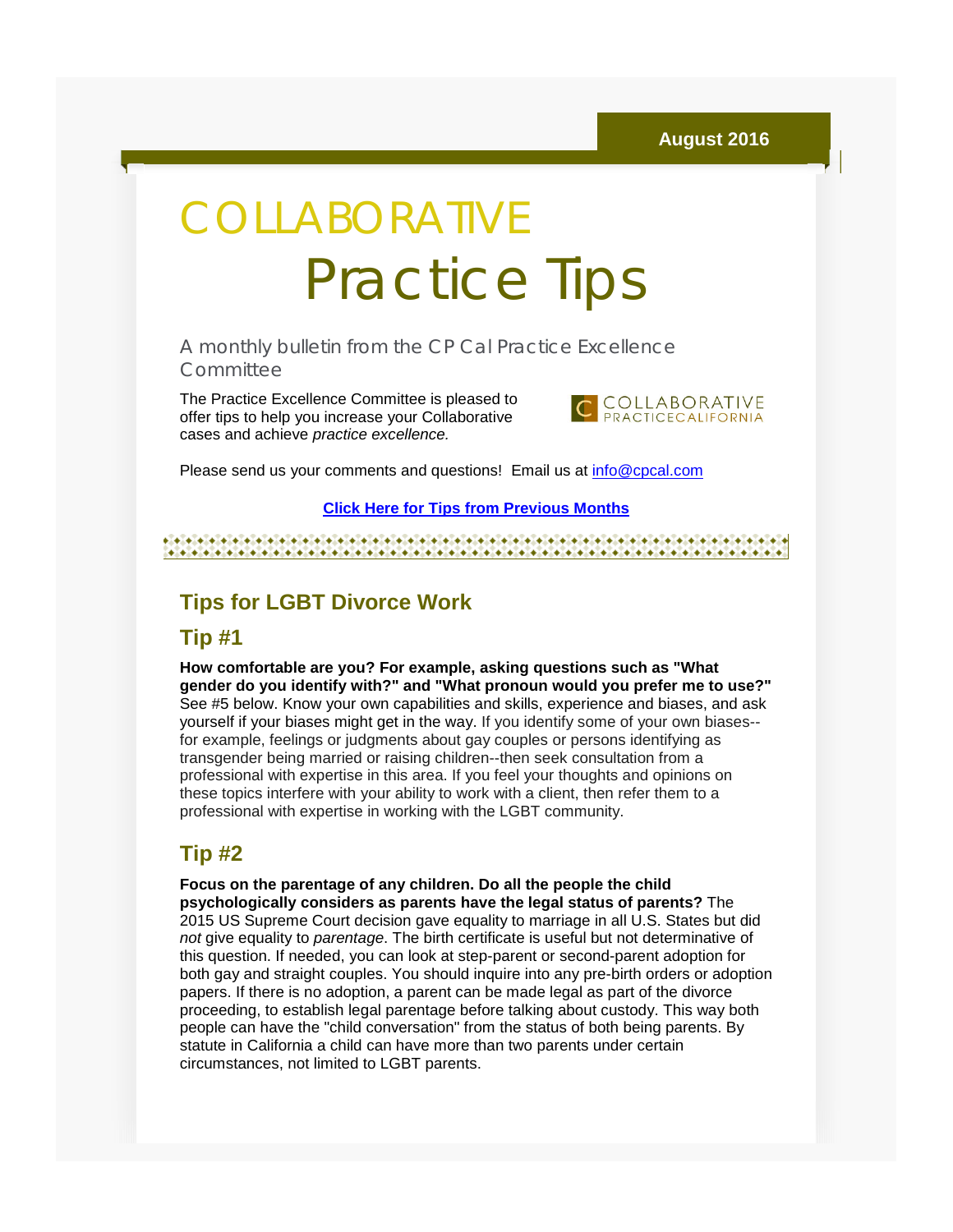# COLLABORATIVE Practice Tips

A monthly bulletin from the CP Cal Practice Excellence **Committee** 

The Practice Excellence Committee is pleased to offer tips to help you increase your Collaborative cases and achieve *practice excellence.*



Please send us your comments and questions! Email us at [info@cpcal.com](mailto:info@cpcal.com)

#### **[Click Here for Tips from Previous Months](http://r20.rs6.net/tn.jsp?f=001KJFraw_aLXM-ArR7Zx17HTd4rwTpkx7Ty302GeIIWB9dIFKnewPXE5tJmCfZuvSI3E6SijrAJBMeF79UxjxoQt93_xrLrOH10NwiYTWDfwb_h9J4lMrjPTkNVSkfRlUuW51zPj5nWVqFgA3sHWssBVtW5LZUzJiepsLZ2-ILsgPuYKPULSbZ6yPKWH0s43CRUL_SO5WdQqK9kJZQitGan7Xx3L0-t5nNzMnGFZtp5QUwidCi2_eTdQ==&c=fy4wNsSg6GhBXSwzPruagH5DT72l1zEJSl1Nvimb-Fvd9nsUCEB5nQ==&ch=aNSbaiXx4HSg6D0gyPs-jydeX2dtwb5hG3WgLPxxhHFWxR5dnaYNqg==)**

#### **Tips for LGBT Divorce Work**

#### **Tip #1**

**How comfortable are you? For example, asking questions such as "What gender do you identify with?" and "What pronoun would you prefer me to use?"** See #5 below. Know your own capabilities and skills, experience and biases, and ask yourself if your biases might get in the way. If you identify some of your own biases- for example, feelings or judgments about gay couples or persons identifying as transgender being married or raising children--then seek consultation from a professional with expertise in this area. If you feel your thoughts and opinions on these topics interfere with your ability to work with a client, then refer them to a professional with expertise in working with the LGBT community.

### **Tip #2**

**Focus on the parentage of any children. Do all the people the child psychologically considers as parents have the legal status of parents?** The 2015 US Supreme Court decision gave equality to marriage in all U.S. States but did *not* give equality to *parentage*. The birth certificate is useful but not determinative of this question. If needed, you can look at step-parent or second-parent adoption for both gay and straight couples. You should inquire into any pre-birth orders or adoption papers. If there is no adoption, a parent can be made legal as part of the divorce proceeding, to establish legal parentage before talking about custody. This way both people can have the "child conversation" from the status of both being parents. By statute in California a child can have more than two parents under certain circumstances, not limited to LGBT parents.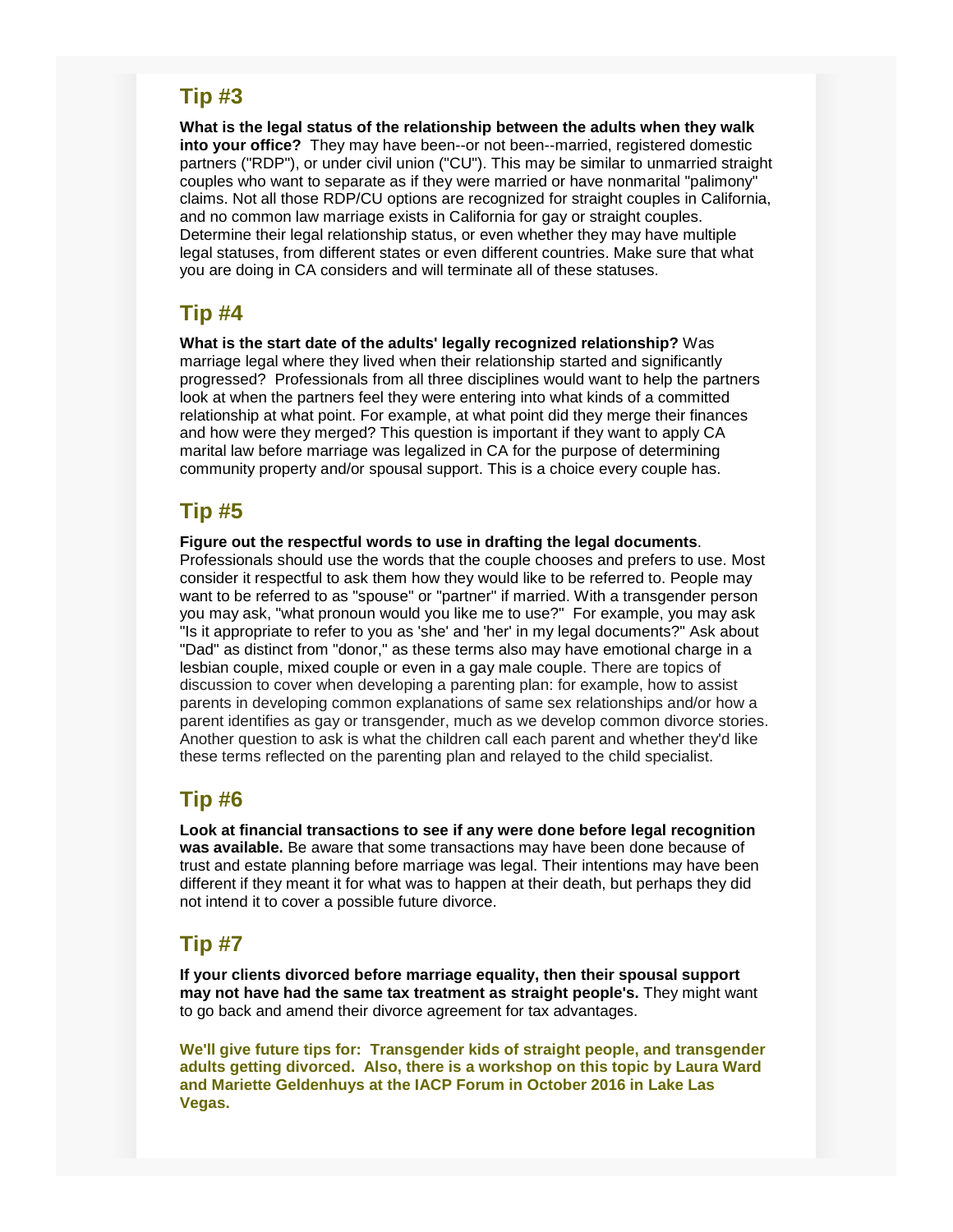#### **Tip #3**

**What is the legal status of the relationship between the adults when they walk into your office?** They may have been--or not been--married, registered domestic partners ("RDP"), or under civil union ("CU"). This may be similar to unmarried straight couples who want to separate as if they were married or have nonmarital "palimony" claims. Not all those RDP/CU options are recognized for straight couples in California, and no common law marriage exists in California for gay or straight couples. Determine their legal relationship status, or even whether they may have multiple legal statuses, from different states or even different countries. Make sure that what you are doing in CA considers and will terminate all of these statuses.

### **Tip #4**

**What is the start date of the adults' legally recognized relationship?** Was marriage legal where they lived when their relationship started and significantly progressed? Professionals from all three disciplines would want to help the partners look at when the partners feel they were entering into what kinds of a committed relationship at what point. For example, at what point did they merge their finances and how were they merged? This question is important if they want to apply CA marital law before marriage was legalized in CA for the purpose of determining community property and/or spousal support. This is a choice every couple has.

# **Tip #5**

**Figure out the respectful words to use in drafting the legal documents**.

Professionals should use the words that the couple chooses and prefers to use. Most consider it respectful to ask them how they would like to be referred to. People may want to be referred to as "spouse" or "partner" if married. With a transgender person you may ask, "what pronoun would you like me to use?" For example, you may ask "Is it appropriate to refer to you as 'she' and 'her' in my legal documents?" Ask about "Dad" as distinct from "donor," as these terms also may have emotional charge in a lesbian couple, mixed couple or even in a gay male couple. There are topics of discussion to cover when developing a parenting plan: for example, how to assist parents in developing common explanations of same sex relationships and/or how a parent identifies as gay or transgender, much as we develop common divorce stories. Another question to ask is what the children call each parent and whether they'd like these terms reflected on the parenting plan and relayed to the child specialist.

# **Tip #6**

**Look at financial transactions to see if any were done before legal recognition was available.** Be aware that some transactions may have been done because of trust and estate planning before marriage was legal. Their intentions may have been different if they meant it for what was to happen at their death, but perhaps they did not intend it to cover a possible future divorce.

# **Tip #7**

**If your clients divorced before marriage equality, then their spousal support may not have had the same tax treatment as straight people's.** They might want to go back and amend their divorce agreement for tax advantages.

**We'll give future tips for: Transgender kids of straight people, and transgender adults getting divorced. Also, there is a workshop on this topic by Laura Ward and Mariette Geldenhuys at the IACP Forum in October 2016 in Lake Las Vegas.**